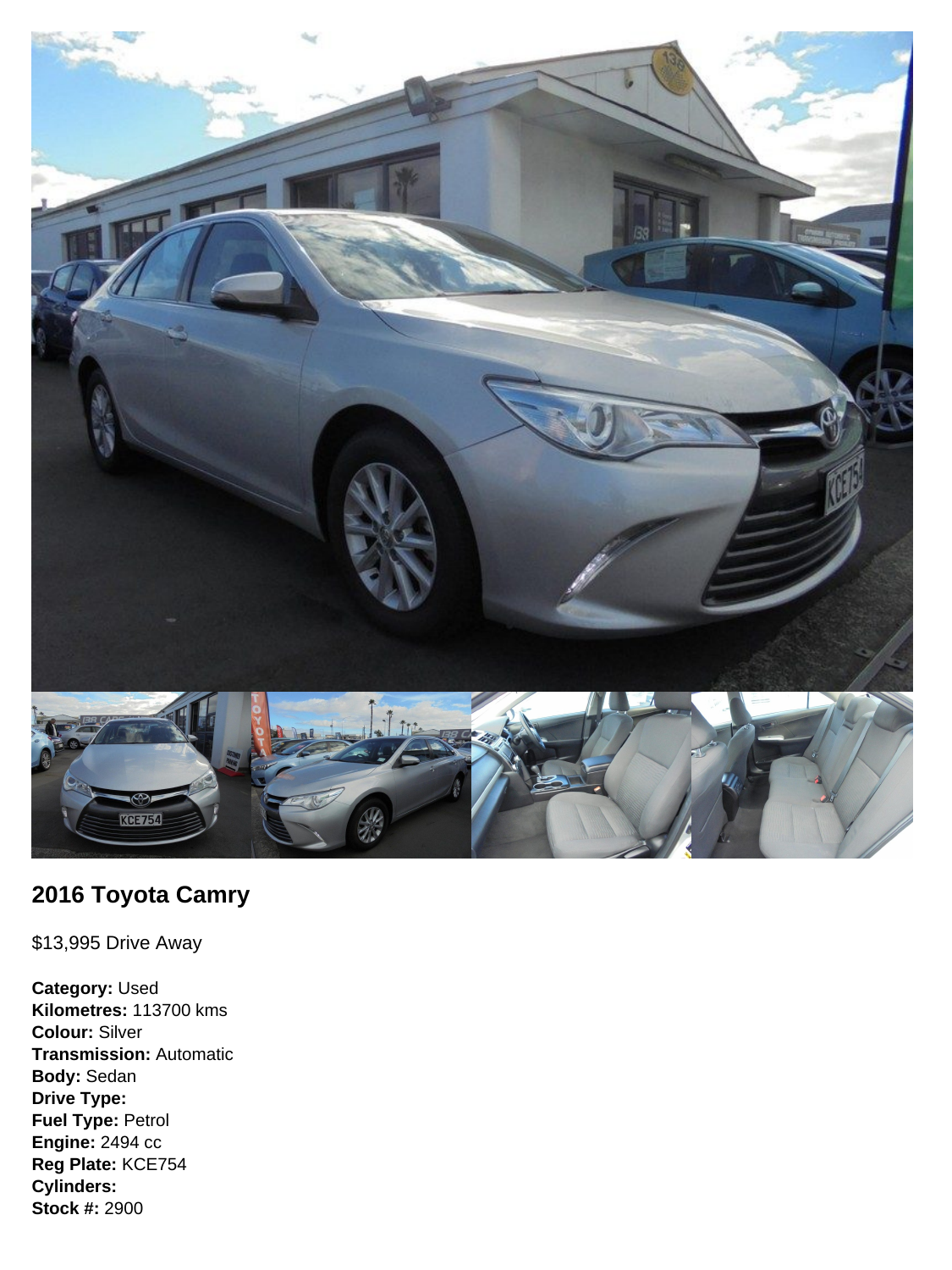

## **2016 Toyota Camry**

\$13,995 Drive Away

**Category:** Used **Kilometres:** 113700 kms **Colour:** Silver **Transmission:** Automatic **Body:** Sedan **Drive Type: Fuel Type:** Petrol **Engine:** 2494 cc **Reg Plate:** KCE754 **Cylinders: Stock #:** 2900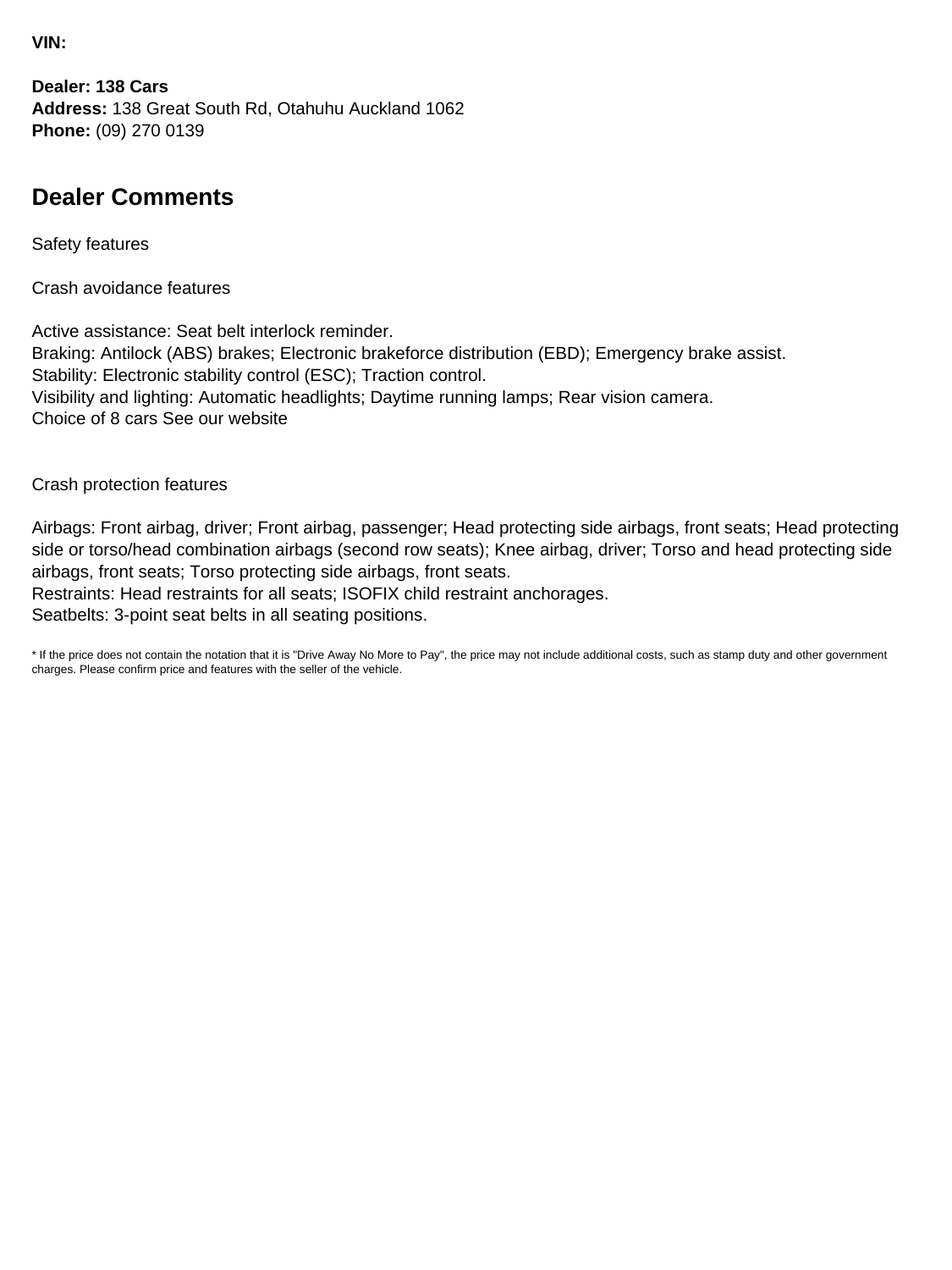**VIN:**

**Dealer: 138 Cars Address:** 138 Great South Rd, Otahuhu Auckland 1062 **Phone:** (09) 270 0139

## **Dealer Comments**

Safety features

Crash avoidance features

Active assistance: Seat belt interlock reminder. Braking: Antilock (ABS) brakes; Electronic brakeforce distribution (EBD); Emergency brake assist. Stability: Electronic stability control (ESC); Traction control. Visibility and lighting: Automatic headlights; Daytime running lamps; Rear vision camera. Choice of 8 cars See our website

Crash protection features

Airbags: Front airbag, driver; Front airbag, passenger; Head protecting side airbags, front seats; Head protecting side or torso/head combination airbags (second row seats); Knee airbag, driver; Torso and head protecting side airbags, front seats; Torso protecting side airbags, front seats.

Restraints: Head restraints for all seats; ISOFIX child restraint anchorages.

Seatbelts: 3-point seat belts in all seating positions.

\* If the price does not contain the notation that it is "Drive Away No More to Pay", the price may not include additional costs, such as stamp duty and other government charges. Please confirm price and features with the seller of the vehicle.